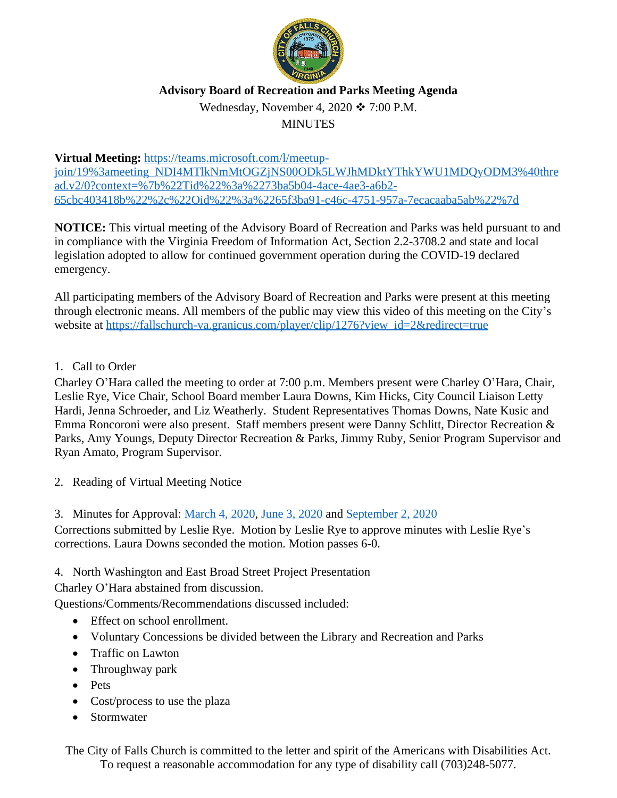

## **Advisory Board of Recreation and Parks Meeting Agenda**

Wednesday, November 4, 2020  $\div$  7:00 P.M.

## MINUTES

**Virtual Meeting:** [https://teams.microsoft.com/l/meetup](https://teams.microsoft.com/l/meetup-join/19%3ameeting_NDI4MTlkNmMtOGZjNS00ODk5LWJhMDktYThkYWU1MDQyODM3%40thread.v2/0?context=%7b%22Tid%22%3a%2273ba5b04-4ace-4ae3-a6b2-65cbc403418b%22%2c%22Oid%22%3a%2265f3ba91-c46c-4751-957a-7ecacaaba5ab%22%7d)join/19%3ameeting\_NDI4MTlkNmMtOGZjNS00ODk5LWJhMDktYThkYWU1MDQyODM3%40thre ad.v2/0?context=%7b%22Tid%22%3a%2273ba5b04-4ace-4ae3-a6b2- 65cbc403418b%22%2c%22Oid%22%3a%2265f3ba91-c46c-4751-957a-7ecacaaba5ab%22%7d

**NOTICE:** This virtual meeting of the Advisory Board of Recreation and Parks was held pursuant to and in compliance with the Virginia Freedom of Information Act, Section 2.2-3708.2 and state and local legislation adopted to allow for continued government operation during the COVID-19 declared emergency.

All participating members of the Advisory Board of Recreation and Parks were present at this meeting through electronic means. All members of the public may view this video of this meeting on the City's website at [https://fallschurch-va.granicus.com/player/clip/1276?view\\_id=2&redirect=true](https://fallschurch-va.granicus.com/player/clip/1276?view_id=2&redirect=true)

## 1. Call to Order

Charley O'Hara called the meeting to order at 7:00 p.m. Members present were Charley O'Hara, Chair, Leslie Rye, Vice Chair, School Board member Laura Downs, Kim Hicks, City Council Liaison Letty Hardi, Jenna Schroeder, and Liz Weatherly. Student Representatives Thomas Downs, Nate Kusic and Emma Roncoroni were also present. Staff members present were Danny Schlitt, Director Recreation & Parks, Amy Youngs, Deputy Director Recreation & Parks, Jimmy Ruby, Senior Program Supervisor and Ryan Amato, Program Supervisor.

- 2. Reading of Virtual Meeting Notice
- 3. Minutes for Approval: [March 4, 2020](https://www.fallschurchva.gov/DocumentCenter/View/13047/Draft-minutes-030420), [June 3, 2020](https://www.fallschurchva.gov/DocumentCenter/View/13048/Draft-Minutes-060320) and [September 2, 2020](http://www.fallschurchva.gov/AgendaCenter/ViewFile/Minutes/_09022020-1608)

Corrections submitted by Leslie Rye. Motion by Leslie Rye to approve minutes with Leslie Rye's corrections. Laura Downs seconded the motion. Motion passes 6-0.

4. North Washington and East Broad Street Project Presentation

Charley O'Hara abstained from discussion.

Questions/Comments/Recommendations discussed included:

- Effect on school enrollment.
- Voluntary Concessions be divided between the Library and Recreation and Parks
- Traffic on Lawton
- Throughway park
- Pets
- Cost/process to use the plaza
- Stormwater

The City of Falls Church is committed to the letter and spirit of the Americans with Disabilities Act. To request a reasonable accommodation for any type of disability call (703)248-5077.